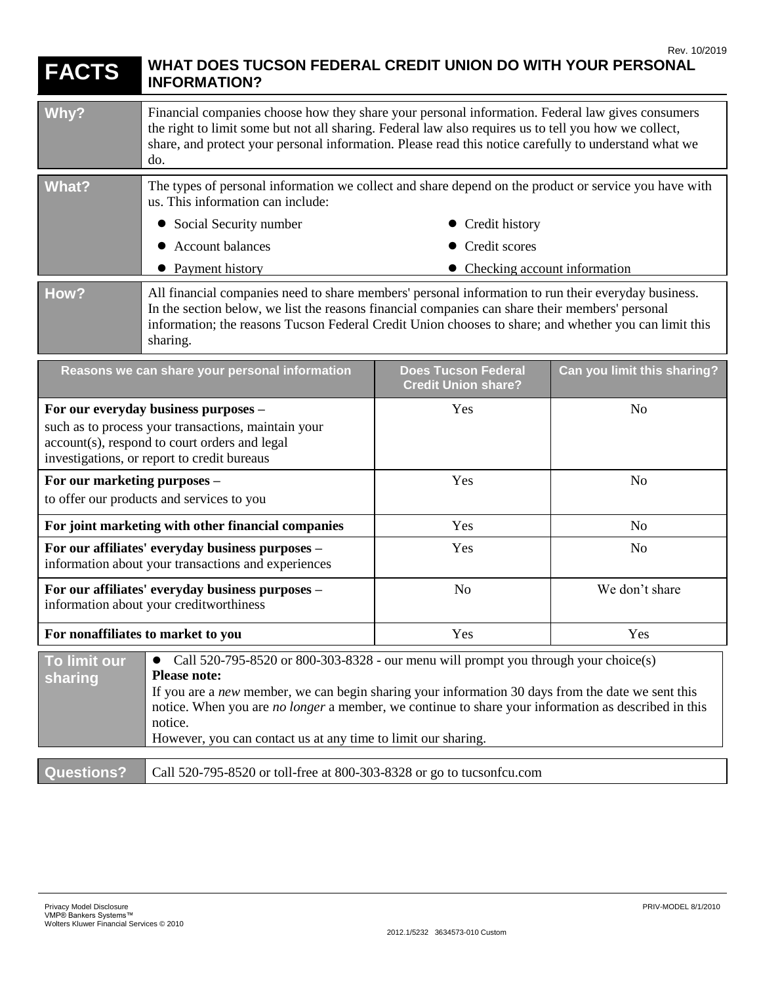| <b>FACTS</b>                                                                                                                                                                                                                                                                                                                                                                                                                                   | WHAT DOES TUCSON FEDERAL CREDIT UNION DO WITH YOUR PERSONAL<br><b>INFORMATION?</b>                                                                                                                                                                                                                                          |                                                          | Rev. 10/2019                |
|------------------------------------------------------------------------------------------------------------------------------------------------------------------------------------------------------------------------------------------------------------------------------------------------------------------------------------------------------------------------------------------------------------------------------------------------|-----------------------------------------------------------------------------------------------------------------------------------------------------------------------------------------------------------------------------------------------------------------------------------------------------------------------------|----------------------------------------------------------|-----------------------------|
| Why?                                                                                                                                                                                                                                                                                                                                                                                                                                           | Financial companies choose how they share your personal information. Federal law gives consumers<br>the right to limit some but not all sharing. Federal law also requires us to tell you how we collect,<br>share, and protect your personal information. Please read this notice carefully to understand what we<br>do.   |                                                          |                             |
| <b>What?</b>                                                                                                                                                                                                                                                                                                                                                                                                                                   | The types of personal information we collect and share depend on the product or service you have with<br>us. This information can include:                                                                                                                                                                                  |                                                          |                             |
|                                                                                                                                                                                                                                                                                                                                                                                                                                                | Social Security number<br>$\bullet$                                                                                                                                                                                                                                                                                         | Credit history                                           |                             |
|                                                                                                                                                                                                                                                                                                                                                                                                                                                | <b>Account balances</b>                                                                                                                                                                                                                                                                                                     | Credit scores                                            |                             |
|                                                                                                                                                                                                                                                                                                                                                                                                                                                | • Payment history                                                                                                                                                                                                                                                                                                           | • Checking account information                           |                             |
| How?                                                                                                                                                                                                                                                                                                                                                                                                                                           | All financial companies need to share members' personal information to run their everyday business.<br>In the section below, we list the reasons financial companies can share their members' personal<br>information; the reasons Tucson Federal Credit Union chooses to share; and whether you can limit this<br>sharing. |                                                          |                             |
| Reasons we can share your personal information                                                                                                                                                                                                                                                                                                                                                                                                 |                                                                                                                                                                                                                                                                                                                             | <b>Does Tucson Federal</b><br><b>Credit Union share?</b> | Can you limit this sharing? |
| For our everyday business purposes -<br>such as to process your transactions, maintain your<br>account(s), respond to court orders and legal<br>investigations, or report to credit bureaus                                                                                                                                                                                                                                                    |                                                                                                                                                                                                                                                                                                                             | Yes                                                      | N <sub>o</sub>              |
| For our marketing purposes -<br>to offer our products and services to you                                                                                                                                                                                                                                                                                                                                                                      |                                                                                                                                                                                                                                                                                                                             | Yes                                                      | N <sub>o</sub>              |
| For joint marketing with other financial companies                                                                                                                                                                                                                                                                                                                                                                                             |                                                                                                                                                                                                                                                                                                                             | Yes                                                      | N <sub>o</sub>              |
| For our affiliates' everyday business purposes -<br>information about your transactions and experiences                                                                                                                                                                                                                                                                                                                                        |                                                                                                                                                                                                                                                                                                                             | Yes                                                      | N <sub>0</sub>              |
| For our affiliates' everyday business purposes -<br>information about your creditworthiness                                                                                                                                                                                                                                                                                                                                                    |                                                                                                                                                                                                                                                                                                                             | N <sub>o</sub>                                           | We don't share              |
| For nonaffiliates to market to you                                                                                                                                                                                                                                                                                                                                                                                                             |                                                                                                                                                                                                                                                                                                                             | Yes                                                      | Yes                         |
| Call $520-795-8520$ or $800-303-8328$ - our menu will prompt you through your choice(s)<br>To limit our<br>$\bullet$<br><b>Please note:</b><br>sharing<br>If you are a new member, we can begin sharing your information 30 days from the date we sent this<br>notice. When you are no longer a member, we continue to share your information as described in this<br>notice.<br>However, you can contact us at any time to limit our sharing. |                                                                                                                                                                                                                                                                                                                             |                                                          |                             |
| <b>Questions?</b>                                                                                                                                                                                                                                                                                                                                                                                                                              | Call 520-795-8520 or toll-free at 800-303-8328 or go to tucsonfcu.com                                                                                                                                                                                                                                                       |                                                          |                             |